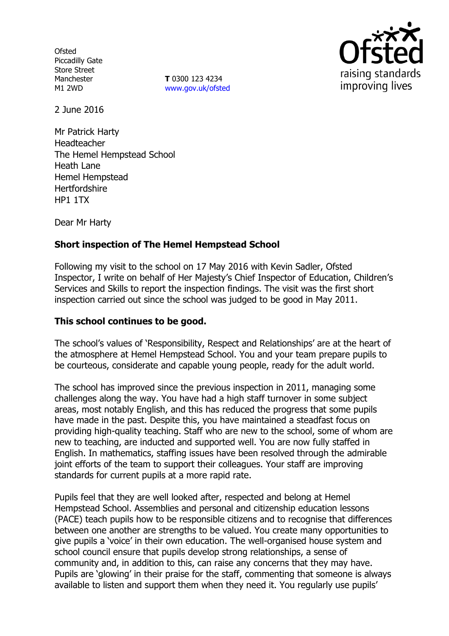**Ofsted** Piccadilly Gate Store Street Manchester M1 2WD

**T** 0300 123 4234 www.gov.uk/ofsted



2 June 2016

Mr Patrick Harty Headteacher The Hemel Hempstead School Heath Lane Hemel Hempstead **Hertfordshire** HP1 1TX

Dear Mr Harty

## **Short inspection of The Hemel Hempstead School**

Following my visit to the school on 17 May 2016 with Kevin Sadler, Ofsted Inspector, I write on behalf of Her Majesty's Chief Inspector of Education, Children's Services and Skills to report the inspection findings. The visit was the first short inspection carried out since the school was judged to be good in May 2011.

## **This school continues to be good.**

The school's values of 'Responsibility, Respect and Relationships' are at the heart of the atmosphere at Hemel Hempstead School. You and your team prepare pupils to be courteous, considerate and capable young people, ready for the adult world.

The school has improved since the previous inspection in 2011, managing some challenges along the way. You have had a high staff turnover in some subject areas, most notably English, and this has reduced the progress that some pupils have made in the past. Despite this, you have maintained a steadfast focus on providing high-quality teaching. Staff who are new to the school, some of whom are new to teaching, are inducted and supported well. You are now fully staffed in English. In mathematics, staffing issues have been resolved through the admirable joint efforts of the team to support their colleagues. Your staff are improving standards for current pupils at a more rapid rate.

Pupils feel that they are well looked after, respected and belong at Hemel Hempstead School. Assemblies and personal and citizenship education lessons (PACE) teach pupils how to be responsible citizens and to recognise that differences between one another are strengths to be valued. You create many opportunities to give pupils a 'voice' in their own education. The well-organised house system and school council ensure that pupils develop strong relationships, a sense of community and, in addition to this, can raise any concerns that they may have. Pupils are 'glowing' in their praise for the staff, commenting that someone is always available to listen and support them when they need it. You regularly use pupils'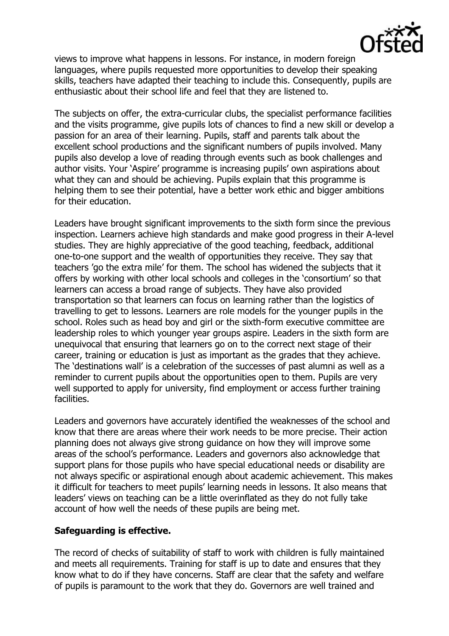

views to improve what happens in lessons. For instance, in modern foreign languages, where pupils requested more opportunities to develop their speaking skills, teachers have adapted their teaching to include this. Consequently, pupils are enthusiastic about their school life and feel that they are listened to.

The subjects on offer, the extra-curricular clubs, the specialist performance facilities and the visits programme, give pupils lots of chances to find a new skill or develop a passion for an area of their learning. Pupils, staff and parents talk about the excellent school productions and the significant numbers of pupils involved. Many pupils also develop a love of reading through events such as book challenges and author visits. Your 'Aspire' programme is increasing pupils' own aspirations about what they can and should be achieving. Pupils explain that this programme is helping them to see their potential, have a better work ethic and bigger ambitions for their education.

Leaders have brought significant improvements to the sixth form since the previous inspection. Learners achieve high standards and make good progress in their A-level studies. They are highly appreciative of the good teaching, feedback, additional one-to-one support and the wealth of opportunities they receive. They say that teachers 'go the extra mile' for them. The school has widened the subjects that it offers by working with other local schools and colleges in the 'consortium' so that learners can access a broad range of subjects. They have also provided transportation so that learners can focus on learning rather than the logistics of travelling to get to lessons. Learners are role models for the younger pupils in the school. Roles such as head boy and girl or the sixth-form executive committee are leadership roles to which younger year groups aspire. Leaders in the sixth form are unequivocal that ensuring that learners go on to the correct next stage of their career, training or education is just as important as the grades that they achieve. The 'destinations wall' is a celebration of the successes of past alumni as well as a reminder to current pupils about the opportunities open to them. Pupils are very well supported to apply for university, find employment or access further training facilities.

Leaders and governors have accurately identified the weaknesses of the school and know that there are areas where their work needs to be more precise. Their action planning does not always give strong guidance on how they will improve some areas of the school's performance. Leaders and governors also acknowledge that support plans for those pupils who have special educational needs or disability are not always specific or aspirational enough about academic achievement. This makes it difficult for teachers to meet pupils' learning needs in lessons. It also means that leaders' views on teaching can be a little overinflated as they do not fully take account of how well the needs of these pupils are being met.

## **Safeguarding is effective.**

The record of checks of suitability of staff to work with children is fully maintained and meets all requirements. Training for staff is up to date and ensures that they know what to do if they have concerns. Staff are clear that the safety and welfare of pupils is paramount to the work that they do. Governors are well trained and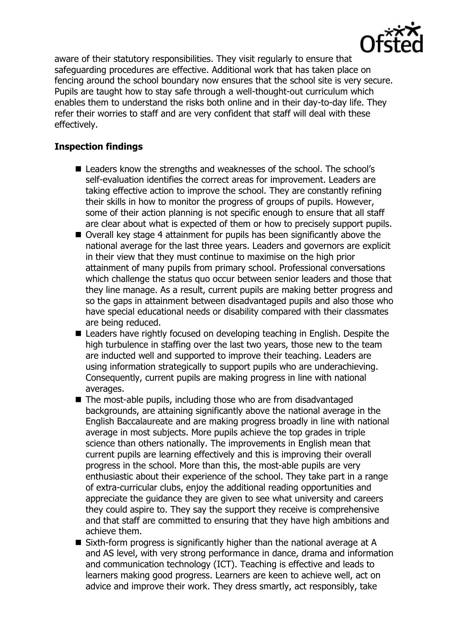

aware of their statutory responsibilities. They visit regularly to ensure that safeguarding procedures are effective. Additional work that has taken place on fencing around the school boundary now ensures that the school site is very secure. Pupils are taught how to stay safe through a well-thought-out curriculum which enables them to understand the risks both online and in their day-to-day life. They refer their worries to staff and are very confident that staff will deal with these effectively.

# **Inspection findings**

- **Leaders know the strengths and weaknesses of the school. The school's** self-evaluation identifies the correct areas for improvement. Leaders are taking effective action to improve the school. They are constantly refining their skills in how to monitor the progress of groups of pupils. However, some of their action planning is not specific enough to ensure that all staff are clear about what is expected of them or how to precisely support pupils.
- Overall key stage 4 attainment for pupils has been significantly above the national average for the last three years. Leaders and governors are explicit in their view that they must continue to maximise on the high prior attainment of many pupils from primary school. Professional conversations which challenge the status quo occur between senior leaders and those that they line manage. As a result, current pupils are making better progress and so the gaps in attainment between disadvantaged pupils and also those who have special educational needs or disability compared with their classmates are being reduced.
- Leaders have rightly focused on developing teaching in English. Despite the high turbulence in staffing over the last two years, those new to the team are inducted well and supported to improve their teaching. Leaders are using information strategically to support pupils who are underachieving. Consequently, current pupils are making progress in line with national averages.
- The most-able pupils, including those who are from disadvantaged backgrounds, are attaining significantly above the national average in the English Baccalaureate and are making progress broadly in line with national average in most subjects. More pupils achieve the top grades in triple science than others nationally. The improvements in English mean that current pupils are learning effectively and this is improving their overall progress in the school. More than this, the most-able pupils are very enthusiastic about their experience of the school. They take part in a range of extra-curricular clubs, enjoy the additional reading opportunities and appreciate the guidance they are given to see what university and careers they could aspire to. They say the support they receive is comprehensive and that staff are committed to ensuring that they have high ambitions and achieve them.
- Sixth-form progress is significantly higher than the national average at A and AS level, with very strong performance in dance, drama and information and communication technology (ICT). Teaching is effective and leads to learners making good progress. Learners are keen to achieve well, act on advice and improve their work. They dress smartly, act responsibly, take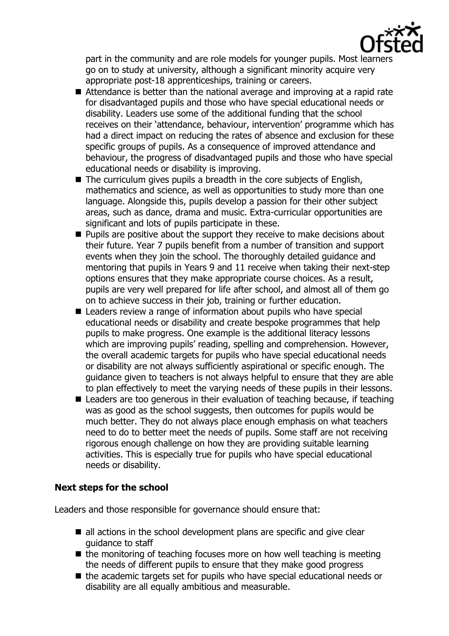

part in the community and are role models for younger pupils. Most learners go on to study at university, although a significant minority acquire very appropriate post-18 apprenticeships, training or careers.

- Attendance is better than the national average and improving at a rapid rate for disadvantaged pupils and those who have special educational needs or disability. Leaders use some of the additional funding that the school receives on their 'attendance, behaviour, intervention' programme which has had a direct impact on reducing the rates of absence and exclusion for these specific groups of pupils. As a consequence of improved attendance and behaviour, the progress of disadvantaged pupils and those who have special educational needs or disability is improving.
- $\blacksquare$  The curriculum gives pupils a breadth in the core subjects of English, mathematics and science, as well as opportunities to study more than one language. Alongside this, pupils develop a passion for their other subject areas, such as dance, drama and music. Extra-curricular opportunities are significant and lots of pupils participate in these.
- $\blacksquare$  Pupils are positive about the support they receive to make decisions about their future. Year 7 pupils benefit from a number of transition and support events when they join the school. The thoroughly detailed guidance and mentoring that pupils in Years 9 and 11 receive when taking their next-step options ensures that they make appropriate course choices. As a result, pupils are very well prepared for life after school, and almost all of them go on to achieve success in their job, training or further education.
- Leaders review a range of information about pupils who have special educational needs or disability and create bespoke programmes that help pupils to make progress. One example is the additional literacy lessons which are improving pupils' reading, spelling and comprehension. However, the overall academic targets for pupils who have special educational needs or disability are not always sufficiently aspirational or specific enough. The guidance given to teachers is not always helpful to ensure that they are able to plan effectively to meet the varying needs of these pupils in their lessons.
- Leaders are too generous in their evaluation of teaching because, if teaching was as good as the school suggests, then outcomes for pupils would be much better. They do not always place enough emphasis on what teachers need to do to better meet the needs of pupils. Some staff are not receiving rigorous enough challenge on how they are providing suitable learning activities. This is especially true for pupils who have special educational needs or disability.

## **Next steps for the school**

Leaders and those responsible for governance should ensure that:

- $\blacksquare$  all actions in the school development plans are specific and give clear guidance to staff
- $\blacksquare$  the monitoring of teaching focuses more on how well teaching is meeting the needs of different pupils to ensure that they make good progress
- the academic targets set for pupils who have special educational needs or disability are all equally ambitious and measurable.